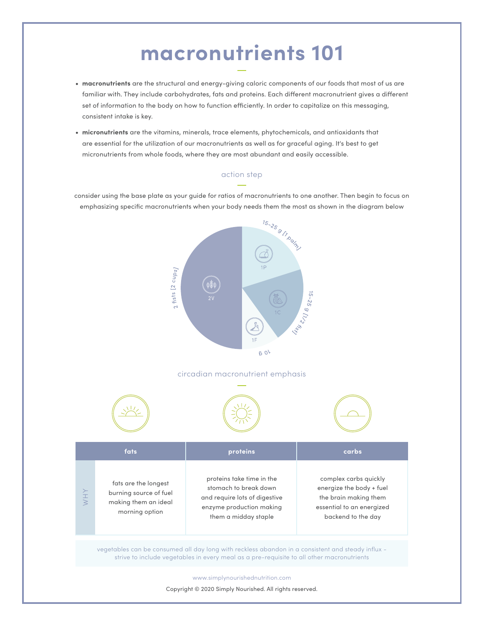#### **macronutrients 101**

- **• macronutrients** are the structural and energy-giving caloric components of our foods that most of us are familiar with. They include carbohydrates, fats and proteins. Each different macronutrient gives a different set of information to the body on how to function efficiently. In order to capitalize on this messaging, consistent intake is key.
- **• micronutrients** are the vitamins, minerals, trace elements, phytochemicals, and antioxidants that are essential for the utilization of our macronutrients as well as for graceful aging. It's best to get micronutrients from whole foods, where they are most abundant and easily accessible.

#### action step

consider using the base plate as your guide for ratios of macronutrients to one another. Then begin to focus on emphasizing specific macronutrients when your body needs them the most as shown in the diagram below

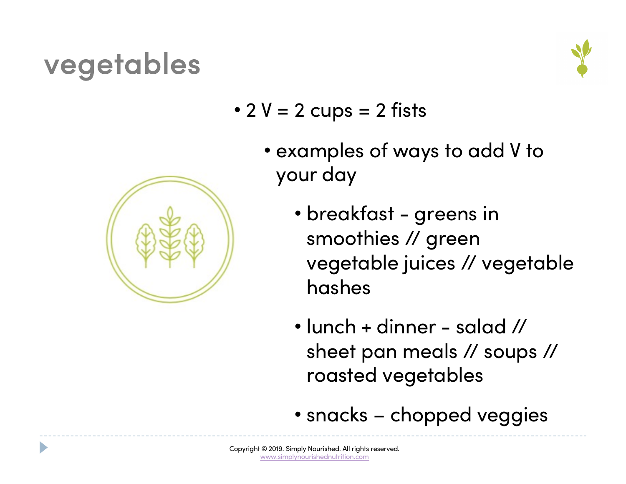## vegetables



- $2 V = 2 \text{ cups} = 2 \text{ fits}$ 
	- examples of ways to add V to your day
		- breakfast greens in smoothies // green vegetable juices // vegetable hashes
		- lunch + dinner salad // sheet pan meals // soups // roasted vegetables
		- snacks chopped veggies

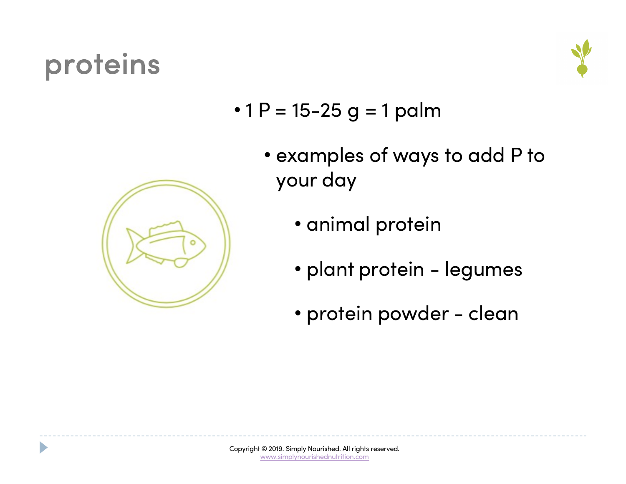## proteins

D



- 1  $P = 15 25$  g = 1 palm
	- examples of ways to add P to your day
		- animal protein
			- plant protein legumes
			- protein powder clean

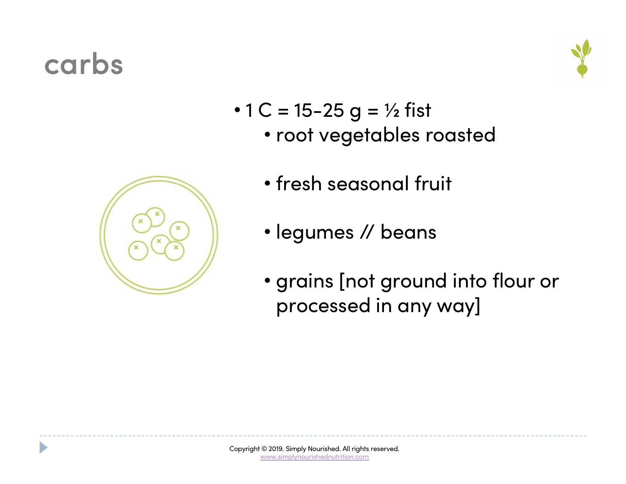#### carbs





- 1 C = 15-25 g =  $\frac{1}{2}$  fist
	- root vegetables roasted
	- fresh seasonal fruit
	- legumes // beans
	- grains [not ground into flour or processed in any way]